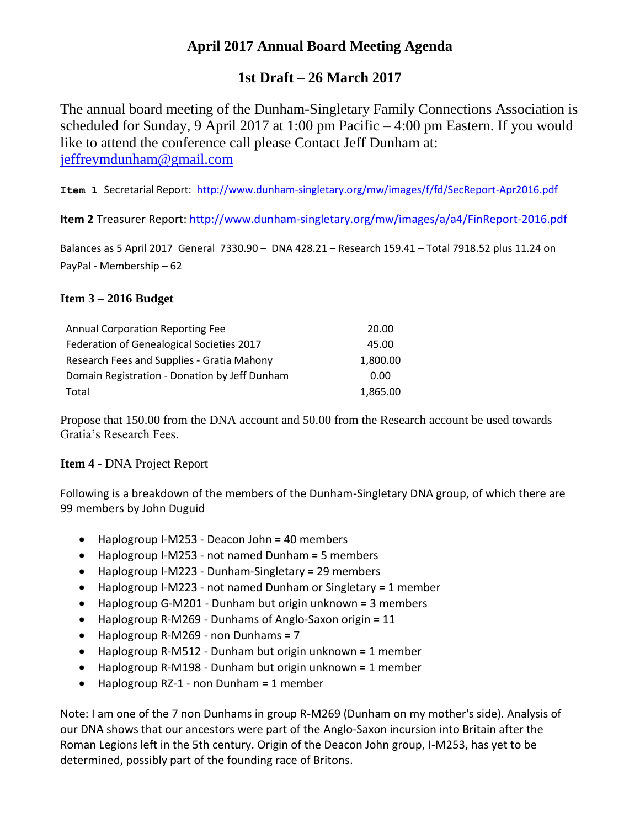## **April 2017 Annual Board Meeting Agenda**

## **1st Draft – 26 March 2017**

The annual board meeting of the Dunham-Singletary Family Connections Association is scheduled for Sunday, 9 April 2017 at 1:00 pm Pacific – 4:00 pm Eastern. If you would like to attend the conference call please Contact Jeff Dunham at: [jeffreymdunham@gmail.com](mailto:jeffreymdunham@gmail.com)

**Item 1** Secretarial Report: <http://www.dunham-singletary.org/mw/images/f/fd/SecReport-Apr2016.pdf>

**Item 2** Treasurer Report: <http://www.dunham-singletary.org/mw/images/a/a4/FinReport-2016.pdf>

Balances as 5 April 2017 General 7330.90 – DNA 428.21 – Research 159.41 – Total 7918.52 plus 11.24 on PayPal - Membership – 62

## **Item 3 – 2016 Budget**

| <b>Annual Corporation Reporting Fee</b>       | 20.00    |
|-----------------------------------------------|----------|
| Federation of Genealogical Societies 2017     | 45.00    |
| Research Fees and Supplies - Gratia Mahony    | 1,800.00 |
| Domain Registration - Donation by Jeff Dunham | 0.00     |
| Total                                         | 1,865.00 |

Propose that 150.00 from the DNA account and 50.00 from the Research account be used towards Gratia's Research Fees.

## **Item 4** - DNA Project Report

Following is a breakdown of the members of the Dunham-Singletary DNA group, of which there are 99 members by John Duguid

- Haplogroup I-M253 Deacon John = 40 members
- Haplogroup I-M253 not named Dunham = 5 members
- Haplogroup I-M223 Dunham-Singletary = 29 members
- Haplogroup I-M223 not named Dunham or Singletary = 1 member
- Haplogroup G-M201 Dunham but origin unknown = 3 members
- Haplogroup R-M269 Dunhams of Anglo-Saxon origin = 11
- $\bullet$  Haplogroup R-M269 non Dunhams = 7
- Haplogroup R-M512 Dunham but origin unknown = 1 member
- Haplogroup R-M198 Dunham but origin unknown = 1 member
- $\bullet$  Haplogroup RZ-1 non Dunham = 1 member

Note: I am one of the 7 non Dunhams in group R-M269 (Dunham on my mother's side). Analysis of our DNA shows that our ancestors were part of the Anglo-Saxon incursion into Britain after the Roman Legions left in the 5th century. Origin of the Deacon John group, I-M253, has yet to be determined, possibly part of the founding race of Britons.